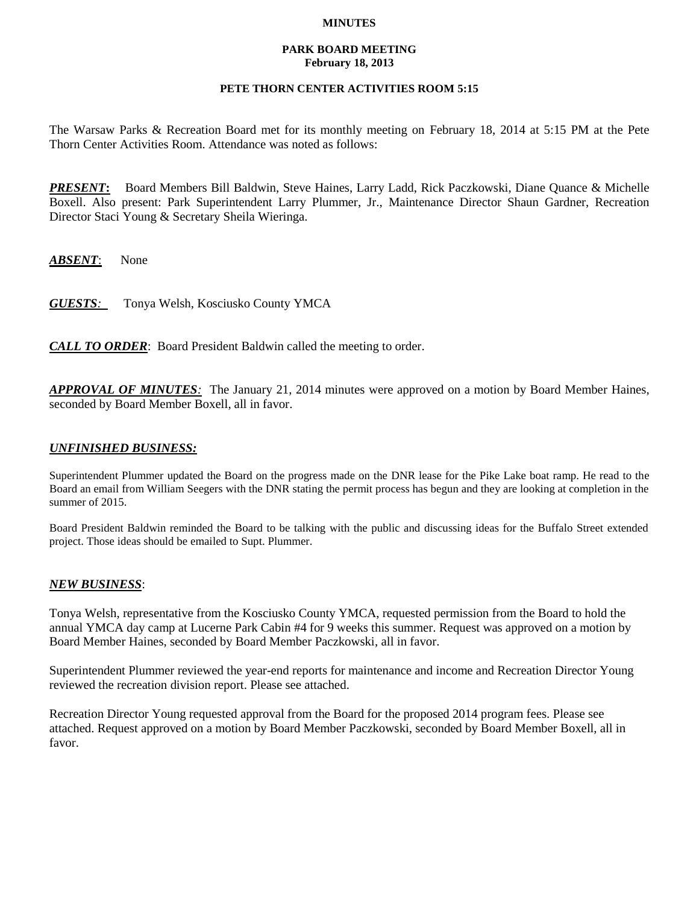### **MINUTES**

### **PARK BOARD MEETING February 18, 2013**

## **PETE THORN CENTER ACTIVITIES ROOM 5:15**

The Warsaw Parks & Recreation Board met for its monthly meeting on February 18, 2014 at 5:15 PM at the Pete Thorn Center Activities Room. Attendance was noted as follows:

*PRESENT***:** Board Members Bill Baldwin, Steve Haines, Larry Ladd, Rick Paczkowski, Diane Quance & Michelle Boxell. Also present: Park Superintendent Larry Plummer, Jr., Maintenance Director Shaun Gardner, Recreation Director Staci Young & Secretary Sheila Wieringa.

*ABSENT*: None

*GUESTS:*Tonya Welsh, Kosciusko County YMCA

*CALL TO ORDER*: Board President Baldwin called the meeting to order.

*APPROVAL OF MINUTES:* The January 21, 2014 minutes were approved on a motion by Board Member Haines, seconded by Board Member Boxell, all in favor.

## *UNFINISHED BUSINESS:*

Superintendent Plummer updated the Board on the progress made on the DNR lease for the Pike Lake boat ramp. He read to the Board an email from William Seegers with the DNR stating the permit process has begun and they are looking at completion in the summer of 2015.

Board President Baldwin reminded the Board to be talking with the public and discussing ideas for the Buffalo Street extended project. Those ideas should be emailed to Supt. Plummer.

# *NEW BUSINESS*:

Tonya Welsh, representative from the Kosciusko County YMCA, requested permission from the Board to hold the annual YMCA day camp at Lucerne Park Cabin #4 for 9 weeks this summer. Request was approved on a motion by Board Member Haines, seconded by Board Member Paczkowski, all in favor.

Superintendent Plummer reviewed the year-end reports for maintenance and income and Recreation Director Young reviewed the recreation division report. Please see attached.

Recreation Director Young requested approval from the Board for the proposed 2014 program fees. Please see attached. Request approved on a motion by Board Member Paczkowski, seconded by Board Member Boxell, all in favor.